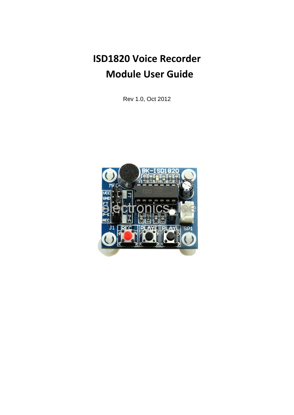**ISD1820 Voice Recorder Module User Guide**

Rev 1.0, Oct 2012

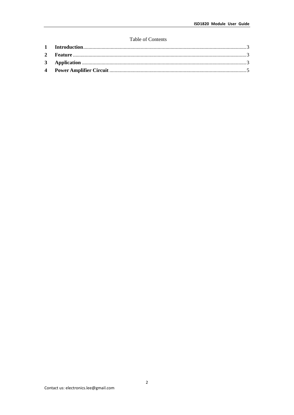#### Table of Contents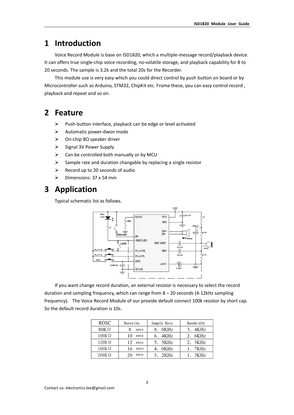## **1 Introduction**

Voice Record Module is base on ISD1820, which a multiple‐message record/playback device. It can offers true single‐chip voice recording, no‐volatile storage, and playback capability for 8 to 20 seconds. The sample is 3.2k and the total 20s for the Recorder.

This module use is very easy which you could direct control by push button on board or by Microcontroller such as Arduino, STM32, ChipKit etc. Frome these, you can easy control record , playback and repeat and so on.

#### **2 Feature**

- ¾ Push‐button interface, playback can be edge or level activated
- ¾ Automatic power‐dwon mode
- ¾ On‐chip 8Ω speaker driver
- $\triangleright$  Signal 3V Power Supply
- $\triangleright$  Can be controlled both manually or by MCU
- $\triangleright$  Sample rate and duration changable by replacing a single resistor
- $\triangleright$  Record up to 20 seconds of audio
- $\triangleright$  Dimensions: 37 x 54 mm

### **3 Application**

Typical schematic list as follows.



If you want change record duration, an external resistor is necessary to select the record duration and sampling frequency, which can range from 8 – 20 seconds (4‐12kHz sampling frequency). The Voice Record Module of our provide default connect 100k resistor by short cap. So the default record duration is 10s.

| <b>ROSC</b>  | Duration   | Sample Rate | Bandwidth |
|--------------|------------|-------------|-----------|
| $80K\Omega$  | 8<br>secs  | 8. 0KHz     | 3. 4KHz   |
| $100K\Omega$ | 10<br>secs | 6. 4KHz     | 2. 6KHz   |
| $120K\Omega$ | 12<br>secs | 5. 3KHz     | 2. 3KHz   |
| $160K\Omega$ | 16<br>secs | 4. OKHz     | 1. 7KHz   |
| $200K\Omega$ | secs<br>20 | 3.2KHz      | 1.3KHz    |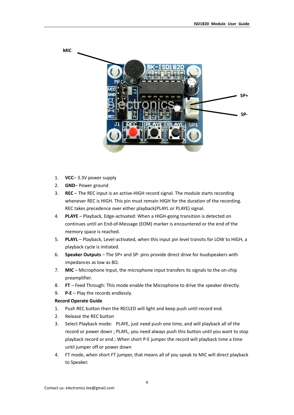

- 1. **VCC** 3.3V power supply
- 2. **GND** Power ground
- 3. **REC** The REC input is an active‐HIGH record signal. The module starts recording whenever REC is HIGH. This pin must remain HIGH for the duration of the recording. REC takes precedence over either playback(PLAYL or PLAYE) signal.
- 4. **PLAYE** Playback, Edge‐activated: When a HIGH‐going transition is detected on continues until an End‐of‐Message (EOM) marker is encountered or the end of the memory space is reached.
- 5. **PLAYL** Playback, Level-activated, when this input pin level transits for LOW to HIGH, a playback cycle is initiated.
- 6. **Speaker Outputs** The SP+ and SP‐ pins provide direct drive for loudspeakers with impedances as low as 8Ω.
- 7. **MIC** Microphone Input, the microphone input transfers its signals to the on‐chip preamplifier.
- 8. **FT** Feed Through: This mode enable the Microphone to drive the speaker directly.
- 9. **P‐E** Play the records endlessly.

#### **Record Operate Guide**

- 1. Push REC button then the RECLED will light and keep push until record end.
- 2. Release the REC button
- 3. Select Playback mode: PLAYE, just need push one time, and will playback all of the record or power down ; PLAYL, you need always push this button until you want to stop playback record or end ; When short P‐E jumper the record will playback time a time until jumper off or power down
- 4. FT mode, when short FT jumper, that means all of you speak to MIC will direct playback to Speaker.